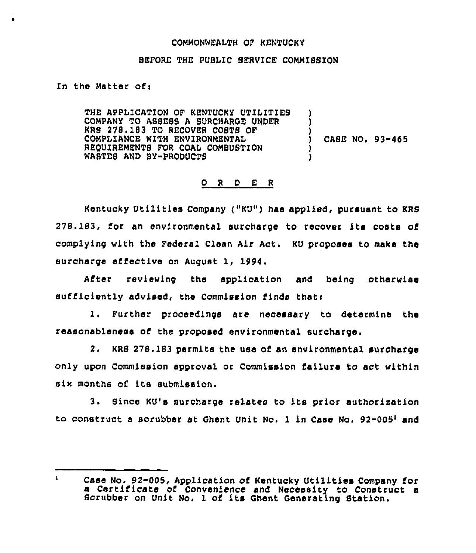#### COMMONWEALTH OF KENTUCKY

### BEFORE THE PUBLIC SERVICE COMMISSION

In the Matter ofi

THE APPLICATION OF KENTUCKY UTILITIEB COMPANY TO ABBESS A SURCHARGE UNDER KRS 278.183 TO RECOVER COSTS OF COMPLIANCE WITH ENVIRONMENTAL REQUIREMENTS FOR COAL COMBUSTION WASTES AND BY-PRODUCTS ) ) CASE NO. 93-465 )

## 0 <sup>R</sup> <sup>D</sup> E <sup>R</sup>

Kentucky Utilities Company ("KU") has applied, pursuant to KRS 278.183, for an environmental surcharge to recover its costs of complying with the Federal Clean Air Act. KU proposes to make the surcharge effective on August 1, 1994.

After reviewing the application and being otherwise sufficiently advised, the Commission finds thati

1. Further proceedings are necessary to determine the reasonableness of the proposed environmental surcharge.

2. KRS 278. 183 permits the use of an environmental suroharge only upon Commission approval or Commission failure to act within six months of its submission.

3. Since KU's surcharge relates to its prior authorisation to construct a scrubber at Ghent Unit No. 1 in Case No.  $92-005<sup>1</sup>$  and

 $\mathbf{I}^-$ Case No, 92-005, Application of Kentucky Utilities Company for a Certificate of Convenience and Necessity to Construct a Scrubber on Unit No. <sup>1</sup> of its Ghent Generating Station.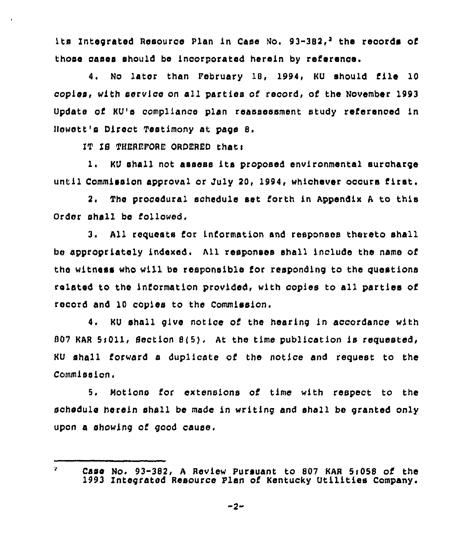its Integrated Resource Plan in Case No. 93-382.<sup>2</sup> the records of those cases should be incorporated herein by reference.

4. No later than February 18, 1994, KU should file 10 copies, with service on all parties of record, of the November 1993 Update of KU's compliance plan reassessment study referenoed in Ncwett's Direct Testimony at page 8.

IT 18 THEREFORE ORDERED that:

 $\mathbf{z}$ 

1. KU shall not assess its proposed environmental surcharge until Commission approval or July 20, 1994, whichever occurs first.

2. The procedural schedule set forth in Appendix <sup>A</sup> to this Order shall be followed.

3. All requests for information snd responses thereto shall be appropriately indexed. All responses shall include the name of the witness who will be responsible for responding to the questions related to the information provided, with copies to all parties of record and 10 copies to the Commission.

4. KU shall give notice of the hearing in accordance with  $807$  KAR 5:011, Section  $8(5)$ . At the time publication is requested, KU shall forward a duplicate of the notice and request to the Commission.

5. Notions for extensions of time with respect to the schedule herein shall be made in writing and shall be granted only upon a showing of good cause.

Case No. 93-382, A Review Pursuant to 807 KAR 5:058 of the 1993 Integrated Resource Plan of Kentucky Utilities Company'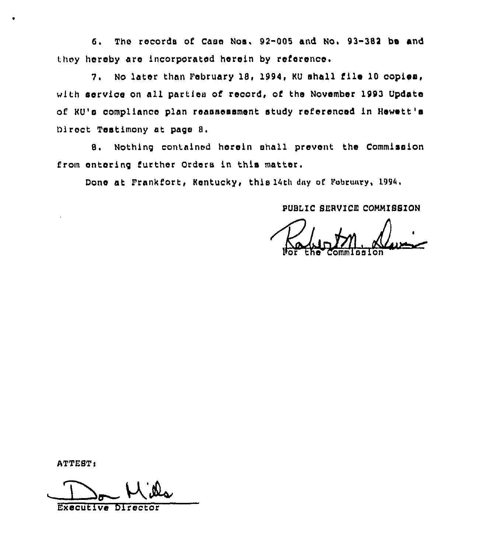6. The records of Casa Nos. 92-005 and No. 93-382 bs and they hereby are incorporated herein by reference.

7. No later than February 18, 1994, KU shall file 10 copies, with service on all parties of record, of the November 1993 Update of KU'e compliance plan reassessment study referenced in Hewett's Direct Testimony at page 8.

B. Nothing contained herein shall prevent the Commission from entering further Orders in this matter.

Done at Frankfort, Kentucky, this 14th dny af Pebruary, 1994,

PUBLIC SERVICE COMMISSION

Por the Commissio

ATTEST:

 $M$ ille

Executive Director